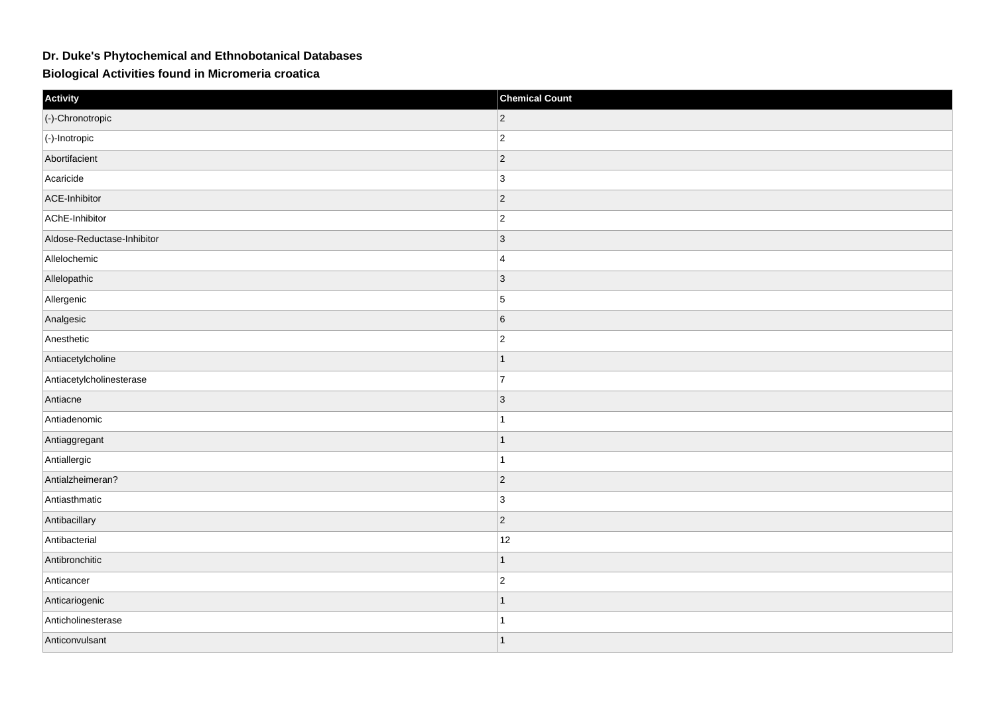## **Dr. Duke's Phytochemical and Ethnobotanical Databases**

**Biological Activities found in Micromeria croatica**

| Activity                   | <b>Chemical Count</b> |
|----------------------------|-----------------------|
| (-)-Chronotropic           | $\overline{c}$        |
| $ (-)$ -Inotropic          | $ 2\rangle$           |
| Abortifacient              | $ 2\rangle$           |
| Acaricide                  | 3                     |
| ACE-Inhibitor              | $ 2\rangle$           |
| AChE-Inhibitor             | $\overline{c}$        |
| Aldose-Reductase-Inhibitor | 3                     |
| Allelochemic               | $\overline{4}$        |
| Allelopathic               | $ 3\rangle$           |
| Allergenic                 | $\vert$ 5             |
| Analgesic                  | 6                     |
| Anesthetic                 | $\overline{c}$        |
| Antiacetylcholine          | -1                    |
| Antiacetylcholinesterase   | $\overline{7}$        |
| Antiacne                   | 3                     |
| Antiadenomic               | $\overline{1}$        |
| Antiaggregant              | $\mathbf 1$           |
| Antiallergic               | 1                     |
| Antialzheimeran?           | $ 2\rangle$           |
| Antiasthmatic              | 3                     |
| Antibacillary              | $ 2\rangle$           |
| Antibacterial              | 12                    |
| Antibronchitic             | -1                    |
| Anticancer                 | $\overline{c}$        |
| Anticariogenic             | $\mathbf 1$           |
| Anticholinesterase         | 1                     |
| Anticonvulsant             | $\overline{1}$        |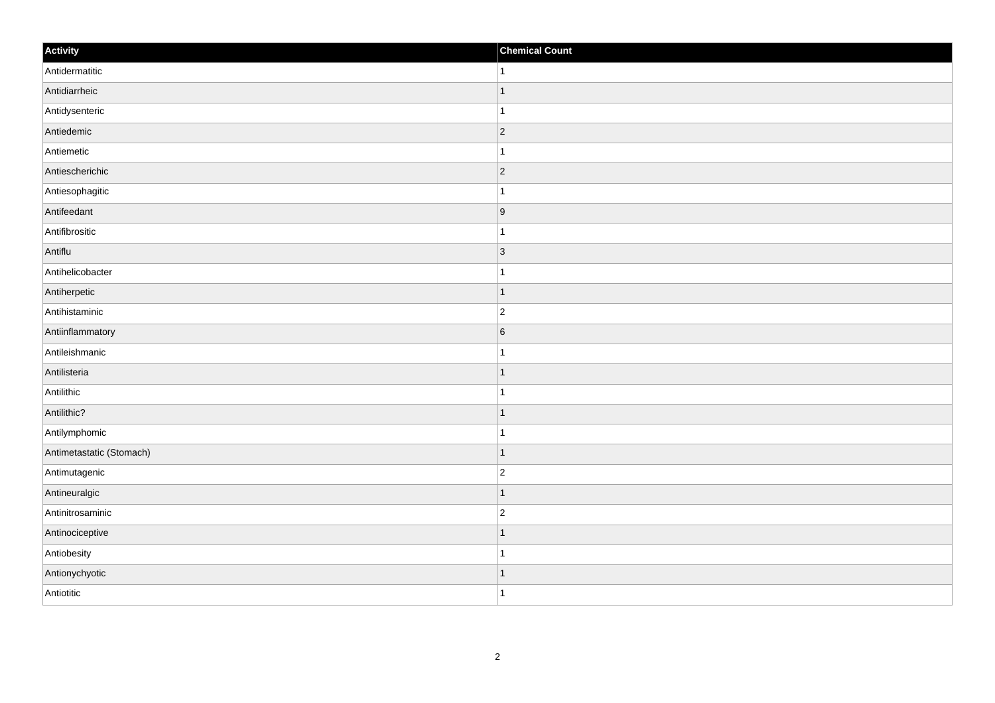| Activity                 | <b>Chemical Count</b> |
|--------------------------|-----------------------|
| Antidermatitic           | $\vert$ 1             |
| Antidiarrheic            | $\mathbf{1}$          |
| Antidysenteric           | 1                     |
| Antiedemic               | $ 2\rangle$           |
| Antiemetic               | $\mathbf{1}$          |
| Antiescherichic          | 2                     |
| Antiesophagitic          | $\mathbf{1}$          |
| Antifeedant              | 9                     |
| Antifibrositic           | 1                     |
| Antiflu                  | 3                     |
| Antihelicobacter         | $\mathbf 1$           |
| Antiherpetic             | $\overline{1}$        |
| Antihistaminic           | $\overline{2}$        |
| Antiinflammatory         | $6\phantom{.}6$       |
| Antileishmanic           | 1                     |
| Antilisteria             | $\vert$ 1             |
| Antilithic               | $\mathbf{1}$          |
| Antilithic?              | 1                     |
| Antilymphomic            | 1                     |
| Antimetastatic (Stomach) | $\vert$ 1             |
| Antimutagenic            | $\overline{c}$        |
| Antineuralgic            | $\vert$ 1             |
| Antinitrosaminic         | $ 2\rangle$           |
| Antinociceptive          | $\overline{1}$        |
| Antiobesity              | $\overline{1}$        |
| Antionychyotic           | $\vert$ 1             |
| Antiotitic               | $\overline{1}$        |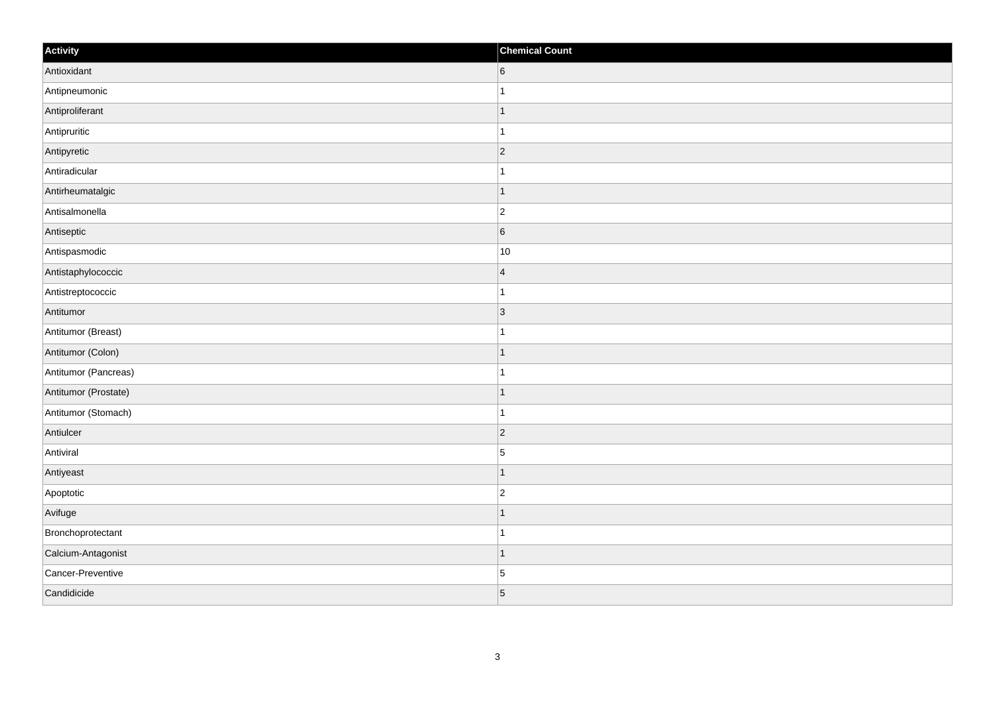| Activity             | <b>Chemical Count</b> |
|----------------------|-----------------------|
| Antioxidant          | 6                     |
| Antipneumonic        |                       |
| Antiproliferant      | $\mathbf 1$           |
| Antipruritic         | 1                     |
| Antipyretic          | $\overline{2}$        |
| Antiradicular        |                       |
| Antirheumatalgic     | $\vert$ 1             |
| Antisalmonella       | $\overline{2}$        |
| Antiseptic           | 6                     |
| Antispasmodic        | $10$                  |
| Antistaphylococcic   | $\overline{4}$        |
| Antistreptococcic    |                       |
| Antitumor            | $ 3\rangle$           |
| Antitumor (Breast)   | 1                     |
| Antitumor (Colon)    | $\overline{1}$        |
| Antitumor (Pancreas) | $\mathbf{1}$          |
| Antitumor (Prostate) | $\mathbf 1$           |
| Antitumor (Stomach)  | $\overline{1}$        |
| Antiulcer            | $ 2\rangle$           |
| Antiviral            | $\sqrt{5}$            |
| Antiyeast            | $\overline{1}$        |
| Apoptotic            | $ 2\rangle$           |
| Avifuge              | -1                    |
| Bronchoprotectant    | 1                     |
| Calcium-Antagonist   | $\mathbf 1$           |
| Cancer-Preventive    | $\vert 5 \vert$       |
| Candidicide          | 5                     |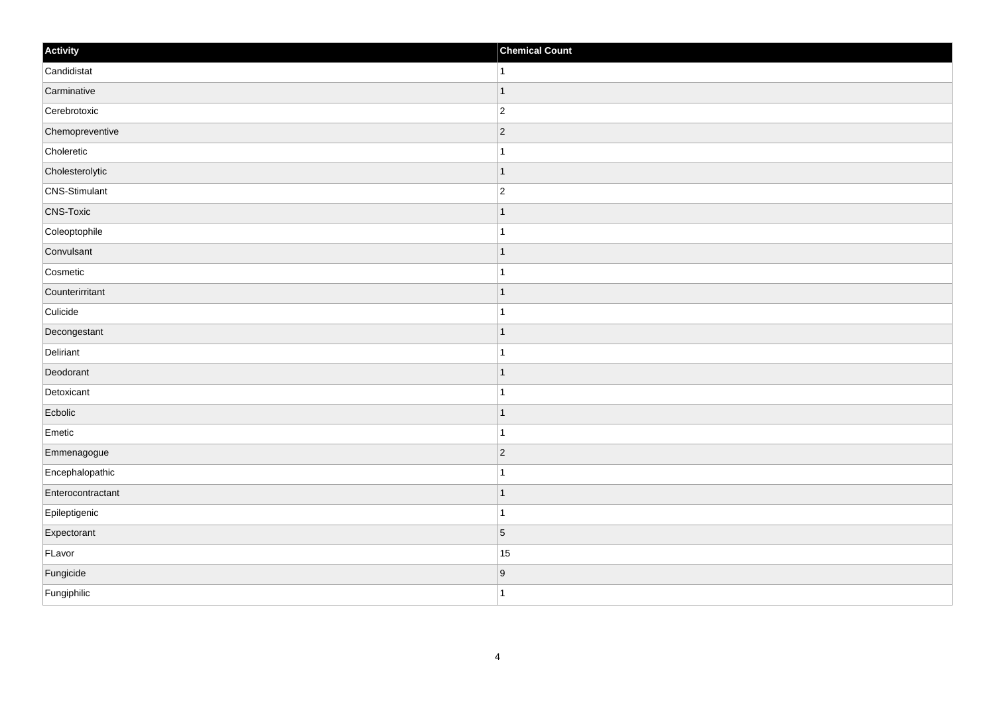| Activity          | <b>Chemical Count</b> |
|-------------------|-----------------------|
| Candidistat       | $\vert$ 1             |
| Carminative       | $\mathbf{1}$          |
| Cerebrotoxic      | $ 2\rangle$           |
| Chemopreventive   | $ 2\rangle$           |
| Choleretic        | $\mathbf{1}$          |
| Cholesterolytic   | $\mathbf 1$           |
| CNS-Stimulant     | $\overline{c}$        |
| <b>CNS-Toxic</b>  | -1                    |
| Coleoptophile     |                       |
| Convulsant        | $\vert$ 1             |
| Cosmetic          | $\mathbf{1}$          |
| Counterirritant   | $\overline{1}$        |
| Culicide          | $\mathbf{1}$          |
| Decongestant      | $\mathbf 1$           |
| Deliriant         | $\overline{1}$        |
| Deodorant         | $\vert$ 1             |
| Detoxicant        | $\mathbf 1$           |
| Ecbolic           | $\mathbf{1}$          |
| Emetic            | $\mathbf{1}$          |
| Emmenagogue       | $ 2\rangle$           |
| Encephalopathic   | $\mathbf{1}$          |
| Enterocontractant | $\mathbf{1}$          |
| Epileptigenic     | $\overline{1}$        |
| Expectorant       | $\vert$ 5             |
| FLavor            | 15                    |
| Fungicide         | $\overline{9}$        |
| Fungiphilic       | $\overline{1}$        |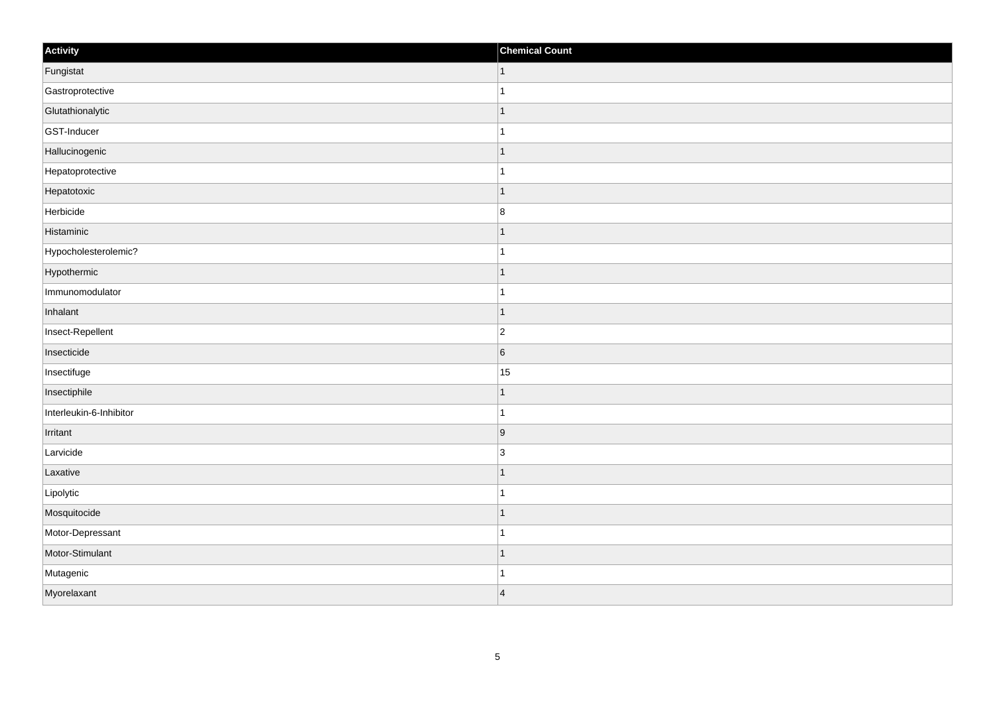| Activity                | <b>Chemical Count</b>    |
|-------------------------|--------------------------|
| Fungistat               | $\vert$ 1                |
| Gastroprotective        |                          |
| Glutathionalytic        | -1                       |
| GST-Inducer             |                          |
| Hallucinogenic          | -1                       |
| Hepatoprotective        |                          |
| Hepatotoxic             | $\vert$ 1                |
| Herbicide               | $\boldsymbol{8}$         |
| Histaminic              |                          |
| Hypocholesterolemic?    |                          |
| Hypothermic             | -1                       |
| Immunomodulator         |                          |
| Inhalant                | 1                        |
| Insect-Repellent        | $\overline{2}$           |
| Insecticide             | $6\overline{6}$          |
| Insectifuge             | 15                       |
| Insectiphile            |                          |
| Interleukin-6-Inhibitor | 1                        |
| Irritant                | 9                        |
| Larvicide               | $\overline{3}$           |
| Laxative                | f.                       |
| Lipolytic               |                          |
| Mosquitocide            | 1                        |
| Motor-Depressant        |                          |
| Motor-Stimulant         | $\overline{\phantom{a}}$ |
| Mutagenic               |                          |
| Myorelaxant             | $\vert 4 \vert$          |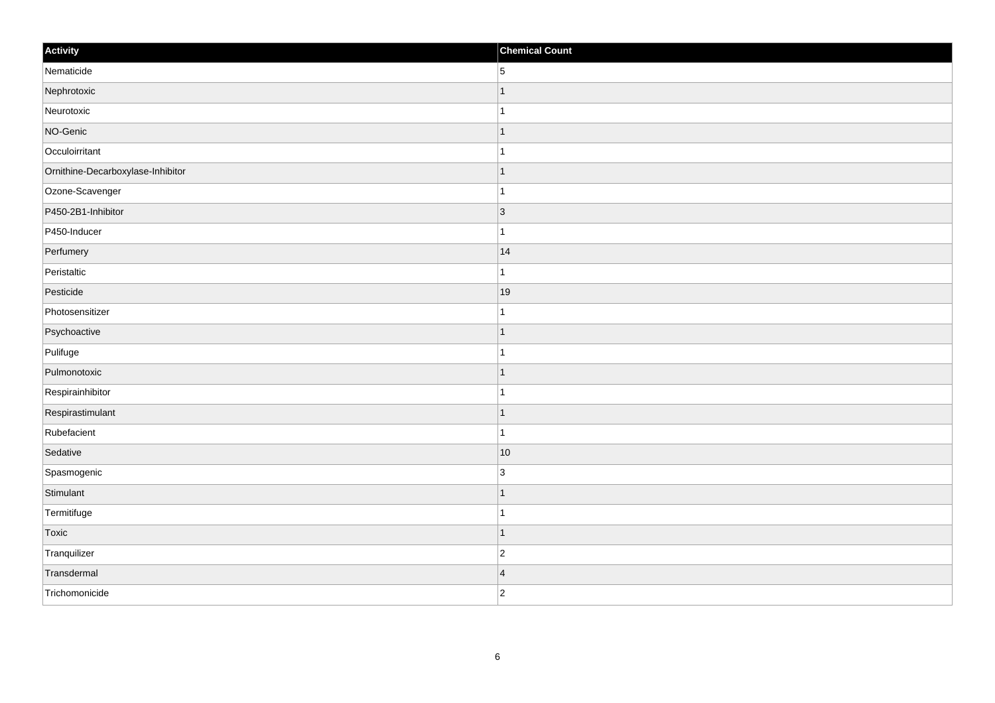| Activity                          | <b>Chemical Count</b> |
|-----------------------------------|-----------------------|
| Nematicide                        | 5                     |
| Nephrotoxic                       | $\mathbf{1}$          |
| Neurotoxic                        | $\mathbf{1}$          |
| NO-Genic                          | $\vert$ 1             |
| Occuloirritant                    | $\vert$ 1             |
| Ornithine-Decarboxylase-Inhibitor | $\mathbf{1}$          |
| Ozone-Scavenger                   | $\vert$ 1             |
| P450-2B1-Inhibitor                | $\vert$ 3             |
| P450-Inducer                      | $\mathbf{1}$          |
| Perfumery                         | 14                    |
| Peristaltic                       | $\mathbf{1}$          |
| Pesticide                         | 19                    |
| Photosensitizer                   | $\mathbf{1}$          |
| Psychoactive                      | $\vert$ 1             |
| Pulifuge                          | $\mathbf{1}$          |
| Pulmonotoxic                      | $\vert$ 1             |
| Respirainhibitor                  | $\vert$ 1             |
| Respirastimulant                  | $\vert$ 1             |
| Rubefacient                       | $\mathbf{1}$          |
| Sedative                          | 10                    |
| Spasmogenic                       | 3                     |
| Stimulant                         | $\vert$ 1             |
| Termitifuge                       | $\vert$ 1             |
| Toxic                             | $\vert$ 1             |
| Tranquilizer                      | $ 2\rangle$           |
| Transdermal                       | $\vert 4 \vert$       |
| Trichomonicide                    | $ 2\rangle$           |